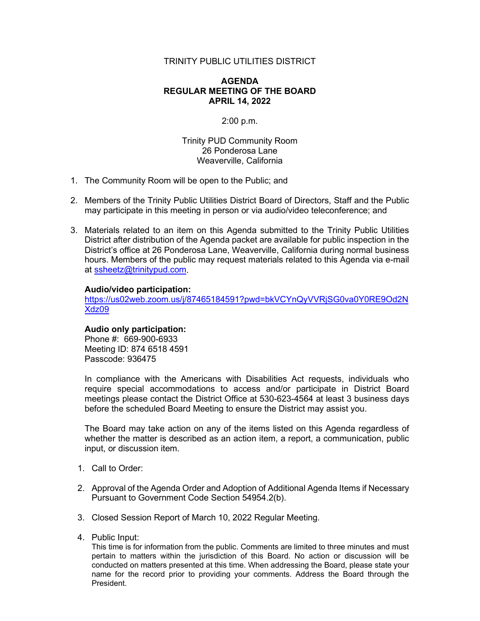# TRINITY PUBLIC UTILITIES DISTRICT

## **AGENDA REGULAR MEETING OF THE BOARD APRIL 14, 2022**

### 2:00 p.m.

Trinity PUD Community Room 26 Ponderosa Lane Weaverville, California

- 1. The Community Room will be open to the Public; and
- 2. Members of the Trinity Public Utilities District Board of Directors, Staff and the Public may participate in this meeting in person or via audio/video teleconference; and
- 3. Materials related to an item on this Agenda submitted to the Trinity Public Utilities District after distribution of the Agenda packet are available for public inspection in the District's office at 26 Ponderosa Lane, Weaverville, California during normal business hours. Members of the public may request materials related to this Agenda via e-mail at [ssheetz@trinitypud.com.](mailto:ssheetz@trinitypud.com)

## **Audio/video participation:**

[https://us02web.zoom.us/j/87465184591?pwd=bkVCYnQyVVRjSG0va0Y0RE9Od2N](https://us02web.zoom.us/j/87465184591?pwd=bkVCYnQyVVRjSG0va0Y0RE9Od2NXdz09) [Xdz09](https://us02web.zoom.us/j/87465184591?pwd=bkVCYnQyVVRjSG0va0Y0RE9Od2NXdz09)

### **Audio only participation:**

Phone #: 669-900-6933 Meeting ID: 874 6518 4591 Passcode: 936475

In compliance with the Americans with Disabilities Act requests, individuals who require special accommodations to access and/or participate in District Board meetings please contact the District Office at 530-623-4564 at least 3 business days before the scheduled Board Meeting to ensure the District may assist you.

The Board may take action on any of the items listed on this Agenda regardless of whether the matter is described as an action item, a report, a communication, public input, or discussion item.

- 1. Call to Order:
- 2. Approval of the Agenda Order and Adoption of Additional Agenda Items if Necessary Pursuant to Government Code Section 54954.2(b).
- 3. Closed Session Report of March 10, 2022 Regular Meeting.
- 4. Public Input:

This time is for information from the public. Comments are limited to three minutes and must pertain to matters within the jurisdiction of this Board. No action or discussion will be conducted on matters presented at this time. When addressing the Board, please state your name for the record prior to providing your comments. Address the Board through the President.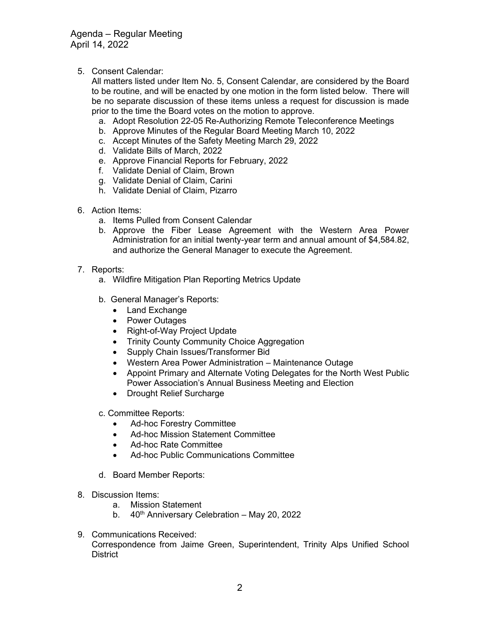Agenda – Regular Meeting April 14, 2022

5. Consent Calendar:

All matters listed under Item No. 5, Consent Calendar, are considered by the Board to be routine, and will be enacted by one motion in the form listed below. There will be no separate discussion of these items unless a request for discussion is made prior to the time the Board votes on the motion to approve.

- a. Adopt Resolution 22-05 Re-Authorizing Remote Teleconference Meetings
- b. Approve Minutes of the Regular Board Meeting March 10, 2022
- c. Accept Minutes of the Safety Meeting March 29, 2022
- d. Validate Bills of March, 2022
- e. Approve Financial Reports for February, 2022
- f. Validate Denial of Claim, Brown
- g. Validate Denial of Claim, Carini
- h. Validate Denial of Claim, Pizarro
- 6. Action Items:
	- a. Items Pulled from Consent Calendar
	- b. Approve the Fiber Lease Agreement with the Western Area Power Administration for an initial twenty-year term and annual amount of \$4,584.82, and authorize the General Manager to execute the Agreement.
- 7. Reports:
	- a. Wildfire Mitigation Plan Reporting Metrics Update
	- b. General Manager's Reports:
		- Land Exchange
		- Power Outages
		- Right-of-Way Project Update
		- Trinity County Community Choice Aggregation
		- Supply Chain Issues/Transformer Bid
		- Western Area Power Administration Maintenance Outage
		- Appoint Primary and Alternate Voting Delegates for the North West Public Power Association's Annual Business Meeting and Election
		- Drought Relief Surcharge
	- c. Committee Reports:
		- Ad-hoc Forestry Committee
		- Ad-hoc Mission Statement Committee
		- Ad-hoc Rate Committee
		- Ad-hoc Public Communications Committee
	- d. Board Member Reports:
- 8. Discussion Items:
	- a. Mission Statement
	- b.  $40<sup>th</sup>$  Anniversary Celebration May 20, 2022
- 9. Communications Received: Correspondence from Jaime Green, Superintendent, Trinity Alps Unified School District